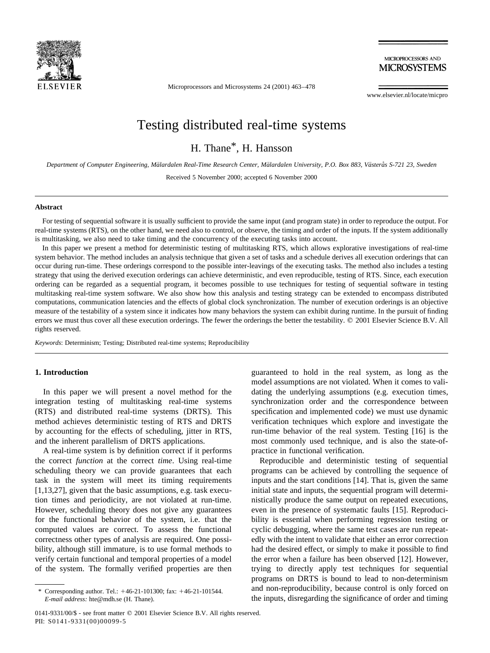

MICROPROCESSORS AND **MICROSYSTEMS** 

Microprocessors and Microsystems 24 (2001) 463–478

www.elsevier.nl/locate/micpro

## Testing distributed real-time systems

H. Thane\*, H. Hansson

Department of Computer Engineering, Mälardalen Real-Time Research Center, Mälardalen University, P.O. Box 883, Västerås S-721 23, Sweden

Received 5 November 2000; accepted 6 November 2000

### **Abstract**

For testing of sequential software it is usually sufficient to provide the same input (and program state) in order to reproduce the output. For real-time systems (RTS), on the other hand, we need also to control, or observe, the timing and order of the inputs. If the system additionally is multitasking, we also need to take timing and the concurrency of the executing tasks into account.

In this paper we present a method for deterministic testing of multitasking RTS, which allows explorative investigations of real-time system behavior. The method includes an analysis technique that given a set of tasks and a schedule derives all execution orderings that can occur during run-time. These orderings correspond to the possible inter-leavings of the executing tasks. The method also includes a testing strategy that using the derived execution orderings can achieve deterministic, and even reproducible, testing of RTS. Since, each execution ordering can be regarded as a sequential program, it becomes possible to use techniques for testing of sequential software in testing multitasking real-time system software. We also show how this analysis and testing strategy can be extended to encompass distributed computations, communication latencies and the effects of global clock synchronization. The number of execution orderings is an objective measure of the testability of a system since it indicates how many behaviors the system can exhibit during runtime. In the pursuit of finding errors we must thus cover all these execution orderings. The fewer the orderings the better the testability. © 2001 Elsevier Science B.V. All rights reserved.

*Keywords*: Determinism; Testing; Distributed real-time systems; Reproducibility

### **1. Introduction**

In this paper we will present a novel method for the integration testing of multitasking real-time systems (RTS) and distributed real-time systems (DRTS). This method achieves deterministic testing of RTS and DRTS by accounting for the effects of scheduling, jitter in RTS, and the inherent parallelism of DRTS applications.

A real-time system is by definition correct if it performs the correct *function* at the correct *time*. Using real-time scheduling theory we can provide guarantees that each task in the system will meet its timing requirements [1,13,27], given that the basic assumptions, e.g. task execution times and periodicity, are not violated at run-time. However, scheduling theory does not give any guarantees for the functional behavior of the system, i.e. that the computed values are correct. To assess the functional correctness other types of analysis are required. One possibility, although still immature, is to use formal methods to verify certain functional and temporal properties of a model of the system. The formally verified properties are then guaranteed to hold in the real system, as long as the model assumptions are not violated. When it comes to validating the underlying assumptions (e.g. execution times, synchronization order and the correspondence between specification and implemented code) we must use dynamic verification techniques which explore and investigate the run-time behavior of the real system. Testing [16] is the most commonly used technique, and is also the state-ofpractice in functional verification.

Reproducible and deterministic testing of sequential programs can be achieved by controlling the sequence of inputs and the start conditions [14]. That is, given the same initial state and inputs, the sequential program will deterministically produce the same output on repeated executions, even in the presence of systematic faults [15]. Reproducibility is essential when performing regression testing or cyclic debugging, where the same test cases are run repeatedly with the intent to validate that either an error correction had the desired effect, or simply to make it possible to find the error when a failure has been observed [12]. However, trying to directly apply test techniques for sequential programs on DRTS is bound to lead to non-determinism and non-reproducibility, because control is only forced on the inputs, disregarding the significance of order and timing

Corresponding author. Tel.:  $+46-21-101300$ ; fax:  $+46-21-101544$ . *E-mail address:* hte@mdh.se (H. Thane).

<sup>0141-9331/00/\$ -</sup> see front matter © 2001 Elsevier Science B.V. All rights reserved. PII: S0141-9331(00)00099-5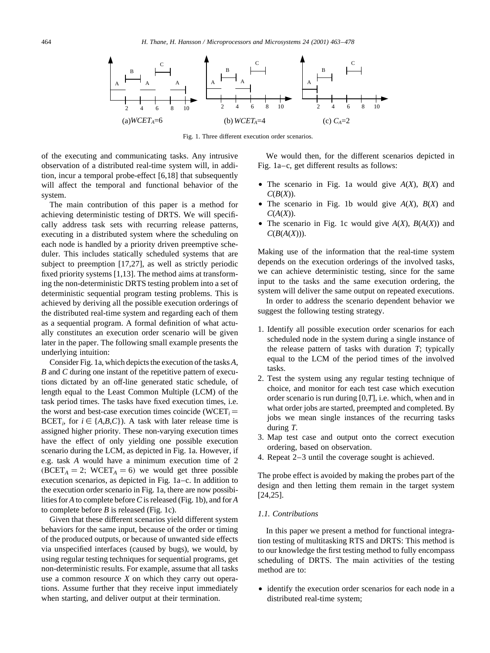

Fig. 1. Three different execution order scenarios.

of the executing and communicating tasks. Any intrusive observation of a distributed real-time system will, in addition, incur a temporal probe-effect [6,18] that subsequently will affect the temporal and functional behavior of the system.

The main contribution of this paper is a method for achieving deterministic testing of DRTS. We will specifically address task sets with recurring release patterns, executing in a distributed system where the scheduling on each node is handled by a priority driven preemptive scheduler. This includes statically scheduled systems that are subject to preemption [17,27], as well as strictly periodic fixed priority systems [1,13]. The method aims at transforming the non-deterministic DRTS testing problem into a set of deterministic sequential program testing problems. This is achieved by deriving all the possible execution orderings of the distributed real-time system and regarding each of them as a sequential program. A formal definition of what actually constitutes an execution order scenario will be given later in the paper. The following small example presents the underlying intuition:

Consider Fig. 1a, which depicts the execution of the tasks *A*, *B* and *C* during one instant of the repetitive pattern of executions dictated by an off-line generated static schedule, of length equal to the Least Common Multiple (LCM) of the task period times. The tasks have fixed execution times, i.e. the worst and best-case execution times coincide (WCET $_i =$ BCET<sub>*i*</sub>, for  $i \in \{A,B,C\}$ ). A task with later release time is assigned higher priority. These non-varying execution times have the effect of only yielding one possible execution scenario during the LCM, as depicted in Fig. 1a. However, if e.g. task *A* would have a minimum execution time of 2  $(BCET_A = 2; WCET_A = 6)$  we would get three possible execution scenarios, as depicted in Fig. 1a–c. In addition to the execution order scenario in Fig. 1a, there are now possibilities for *A* to complete before *C* is released (Fig. 1b), and for *A* to complete before *B* is released (Fig. 1c).

Given that these different scenarios yield different system behaviors for the same input, because of the order or timing of the produced outputs, or because of unwanted side effects via unspecified interfaces (caused by bugs), we would, by using regular testing techniques for sequential programs, get non-deterministic results. For example, assume that all tasks use a common resource *X* on which they carry out operations. Assume further that they receive input immediately when starting, and deliver output at their termination.

We would then, for the different scenarios depicted in Fig. 1a–c, get different results as follows:

- The scenario in Fig. 1a would give *A*(*X*), *B*(*X*) and  $C(B(X)).$
- The scenario in Fig. 1b would give *A*(*X*), *B*(*X*) and *C*(*A*(*X*)).
- The scenario in Fig. 1c would give *A*(*X*), *B*(*A*(*X*)) and  $C(B(A(X))).$

Making use of the information that the real-time system depends on the execution orderings of the involved tasks, we can achieve deterministic testing, since for the same input to the tasks and the same execution ordering, the system will deliver the same output on repeated executions.

In order to address the scenario dependent behavior we suggest the following testing strategy.

- 1. Identify all possible execution order scenarios for each scheduled node in the system during a single instance of the release pattern of tasks with duration *T*; typically equal to the LCM of the period times of the involved tasks.
- 2. Test the system using any regular testing technique of choice, and monitor for each test case which execution order scenario is run during [0,*T*], i.e. which, when and in what order jobs are started, preempted and completed. By jobs we mean single instances of the recurring tasks during *T*.
- 3. Map test case and output onto the correct execution ordering, based on observation.
- 4. Repeat 2–3 until the coverage sought is achieved.

The probe effect is avoided by making the probes part of the design and then letting them remain in the target system [24,25].

#### *1.1. Contributions*

In this paper we present a method for functional integration testing of multitasking RTS and DRTS: This method is to our knowledge the first testing method to fully encompass scheduling of DRTS. The main activities of the testing method are to:

• identify the execution order scenarios for each node in a distributed real-time system;